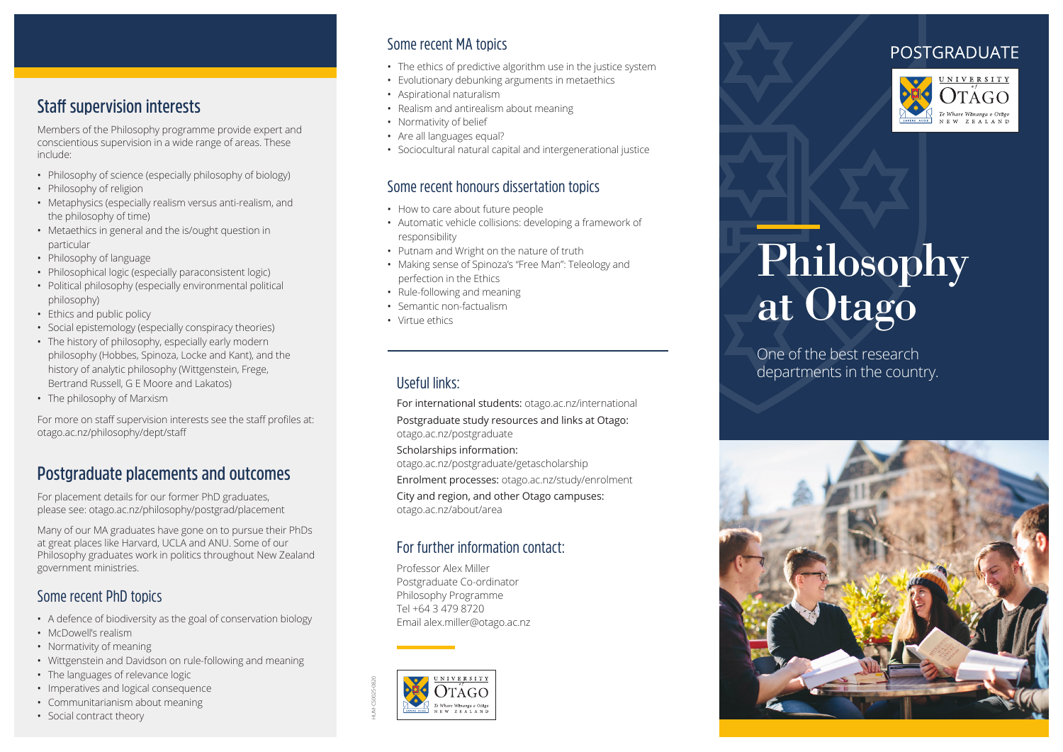# **Staff supervision interests**

Members of the Philosophy programme provide expert and conscientious supervision in a wide range of areas. These include:

- Philosophy of science (especially philosophy of biology)
- Philosophy of religion
- Metaphysics (especially realism versus anti-realism, and the philosophy of time)
- Metaethics in general and the is/ought question in particular
- Philosophy of language
- Philosophical logic (especially paraconsistent logic)
- Political philosophy (especially environmental political philosophy)
- Ethics and public policy
- Social epistemology (especially conspiracy theories)
- The history of philosophy, especially early modern philosophy (Hobbes, Spinoza, Locke and Kant), and the history of analytic philosophy (Wittgenstein, Frege, Bertrand Russell, G E Moore and Lakatos)
- The philosophy of Marxism

For more on staff supervision interests see the staff profiles at: otago.ac.nz/philosophy/dept/staff

## **Postgraduate placements and outcomes**

For placement details for our former PhD graduates, please see: otago.ac.nz/philosophy/postgrad/placement

Many of our MA graduates have gone on to pursue their PhDs at great places like Harvard, UCLA and ANU. Some of our Philosophy graduates work in politics throughout New Zealand government ministries.

#### Some recent PhD topics

- A defence of biodiversity as the goal of conservation biology
- McDowell's realism
- Normativity of meaning
- Wittgenstein and Davidson on rule-following and meaning
- The languages of relevance logic
- Imperatives and logical consequence
- Communitarianism about meaning
- Social contract theory

#### Some recent MA topics

- The ethics of predictive algorithm use in the justice system
- Evolutionary debunking arguments in metaethics
- Aspirational naturalism
- Realism and antirealism about meaning
- Normativity of belief
- Are all languages equal?
- Sociocultural natural capital and intergenerational justice

#### Some recent honours dissertation topics

- How to care about future people
- Automatic vehicle collisions: developing a framework of responsibility
- Putnam and Wright on the nature of truth
- Making sense of Spinoza's "Free Man": Teleology and perfection in the Ethics
- Rule-following and meaning
- Semantic non-factualism
- Virtue ethics

## Useful links:

For international students: otago.ac.nz/international

Postgraduate study resources and links at Otago: otago.ac.nz/postgraduate

Scholarships information:

otago.ac.nz/postgraduate/getascholarship

Enrolment processes: otago.ac.nz/study/enrolment

City and region, and other Otago campuses: otago.ac.nz/about/area

#### For further information contact:

Professor Alex Miller Postgraduate Co-ordinator Philosophy Programme Tel +64 3 479 8720 Email alex.miller@otago.ac.nz



# **POSTGRADUATE**



# Philosophy at Otago

One of the best research departments in the country.